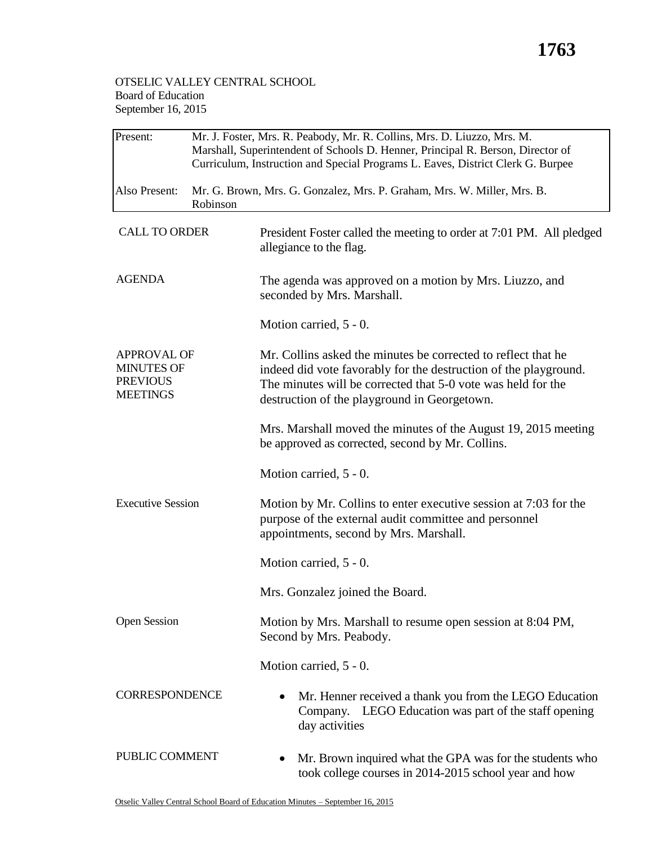## OTSELIC VALLEY CENTRAL SCHOOL Board of Education September 16, 2015

| Present:                                                                      | Mr. J. Foster, Mrs. R. Peabody, Mr. R. Collins, Mrs. D. Liuzzo, Mrs. M.<br>Marshall, Superintendent of Schools D. Henner, Principal R. Berson, Director of<br>Curriculum, Instruction and Special Programs L. Eaves, District Clerk G. Burpee |                                                                                                                                                                                                                                                   |  |  |
|-------------------------------------------------------------------------------|-----------------------------------------------------------------------------------------------------------------------------------------------------------------------------------------------------------------------------------------------|---------------------------------------------------------------------------------------------------------------------------------------------------------------------------------------------------------------------------------------------------|--|--|
| Also Present:                                                                 | Mr. G. Brown, Mrs. G. Gonzalez, Mrs. P. Graham, Mrs. W. Miller, Mrs. B.<br>Robinson                                                                                                                                                           |                                                                                                                                                                                                                                                   |  |  |
| <b>CALL TO ORDER</b>                                                          |                                                                                                                                                                                                                                               | President Foster called the meeting to order at 7:01 PM. All pledged<br>allegiance to the flag.                                                                                                                                                   |  |  |
| <b>AGENDA</b>                                                                 |                                                                                                                                                                                                                                               | The agenda was approved on a motion by Mrs. Liuzzo, and<br>seconded by Mrs. Marshall.                                                                                                                                                             |  |  |
|                                                                               |                                                                                                                                                                                                                                               | Motion carried, $5 - 0$ .                                                                                                                                                                                                                         |  |  |
| <b>APPROVAL OF</b><br><b>MINUTES OF</b><br><b>PREVIOUS</b><br><b>MEETINGS</b> |                                                                                                                                                                                                                                               | Mr. Collins asked the minutes be corrected to reflect that he<br>indeed did vote favorably for the destruction of the playground.<br>The minutes will be corrected that 5-0 vote was held for the<br>destruction of the playground in Georgetown. |  |  |
|                                                                               |                                                                                                                                                                                                                                               | Mrs. Marshall moved the minutes of the August 19, 2015 meeting<br>be approved as corrected, second by Mr. Collins.                                                                                                                                |  |  |
|                                                                               |                                                                                                                                                                                                                                               | Motion carried, 5 - 0.                                                                                                                                                                                                                            |  |  |
| <b>Executive Session</b>                                                      |                                                                                                                                                                                                                                               | Motion by Mr. Collins to enter executive session at 7:03 for the<br>purpose of the external audit committee and personnel<br>appointments, second by Mrs. Marshall.                                                                               |  |  |
|                                                                               |                                                                                                                                                                                                                                               | Motion carried, 5 - 0.                                                                                                                                                                                                                            |  |  |
|                                                                               |                                                                                                                                                                                                                                               | Mrs. Gonzalez joined the Board.                                                                                                                                                                                                                   |  |  |
| <b>Open Session</b>                                                           |                                                                                                                                                                                                                                               | Motion by Mrs. Marshall to resume open session at 8:04 PM,<br>Second by Mrs. Peabody.                                                                                                                                                             |  |  |
|                                                                               |                                                                                                                                                                                                                                               | Motion carried, 5 - 0.                                                                                                                                                                                                                            |  |  |
| <b>CORRESPONDENCE</b>                                                         |                                                                                                                                                                                                                                               | Mr. Henner received a thank you from the LEGO Education<br>٠<br>Company. LEGO Education was part of the staff opening<br>day activities                                                                                                           |  |  |
| PUBLIC COMMENT                                                                |                                                                                                                                                                                                                                               | Mr. Brown inquired what the GPA was for the students who<br>$\bullet$<br>took college courses in 2014-2015 school year and how                                                                                                                    |  |  |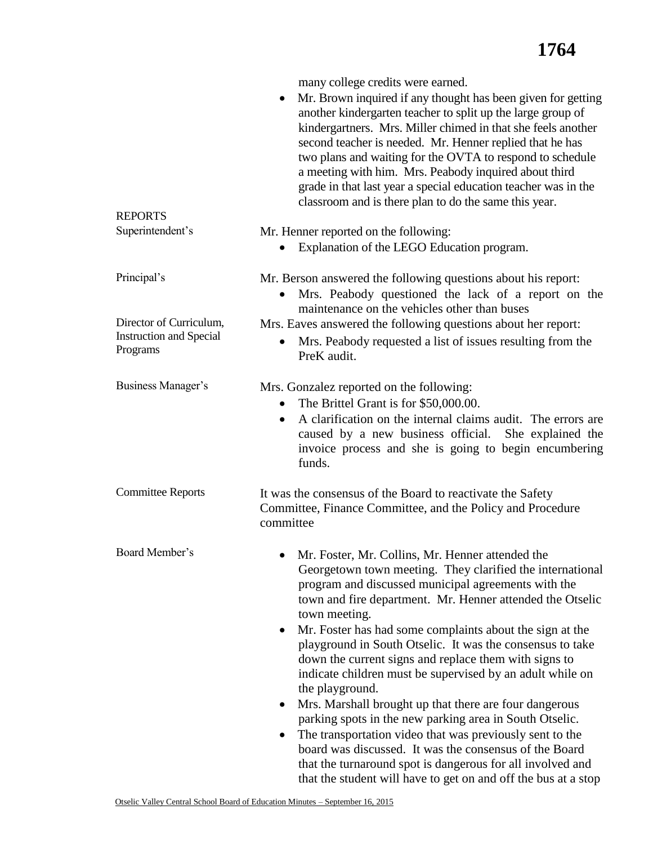|                                                                       | Mr. Brown inquired if any thought has been given for getting<br>$\bullet$<br>another kindergarten teacher to split up the large group of<br>kindergartners. Mrs. Miller chimed in that she feels another<br>second teacher is needed. Mr. Henner replied that he has<br>two plans and waiting for the OVTA to respond to schedule<br>a meeting with him. Mrs. Peabody inquired about third<br>grade in that last year a special education teacher was in the<br>classroom and is there plan to do the same this year.                                                                                                                                                                                                                                                                                                                                                                                     |  |
|-----------------------------------------------------------------------|-----------------------------------------------------------------------------------------------------------------------------------------------------------------------------------------------------------------------------------------------------------------------------------------------------------------------------------------------------------------------------------------------------------------------------------------------------------------------------------------------------------------------------------------------------------------------------------------------------------------------------------------------------------------------------------------------------------------------------------------------------------------------------------------------------------------------------------------------------------------------------------------------------------|--|
| <b>REPORTS</b>                                                        |                                                                                                                                                                                                                                                                                                                                                                                                                                                                                                                                                                                                                                                                                                                                                                                                                                                                                                           |  |
| Superintendent's                                                      | Mr. Henner reported on the following:<br>Explanation of the LEGO Education program.                                                                                                                                                                                                                                                                                                                                                                                                                                                                                                                                                                                                                                                                                                                                                                                                                       |  |
| Principal's                                                           | Mr. Berson answered the following questions about his report:<br>Mrs. Peabody questioned the lack of a report on the<br>maintenance on the vehicles other than buses                                                                                                                                                                                                                                                                                                                                                                                                                                                                                                                                                                                                                                                                                                                                      |  |
| Director of Curriculum,<br><b>Instruction and Special</b><br>Programs | Mrs. Eaves answered the following questions about her report:<br>Mrs. Peabody requested a list of issues resulting from the<br>PreK audit.                                                                                                                                                                                                                                                                                                                                                                                                                                                                                                                                                                                                                                                                                                                                                                |  |
| Business Manager's                                                    | Mrs. Gonzalez reported on the following:<br>The Brittel Grant is for \$50,000.00.<br>$\bullet$<br>A clarification on the internal claims audit. The errors are<br>$\bullet$<br>caused by a new business official. She explained the<br>invoice process and she is going to begin encumbering<br>funds.                                                                                                                                                                                                                                                                                                                                                                                                                                                                                                                                                                                                    |  |
| <b>Committee Reports</b>                                              | It was the consensus of the Board to reactivate the Safety<br>Committee, Finance Committee, and the Policy and Procedure<br>committee                                                                                                                                                                                                                                                                                                                                                                                                                                                                                                                                                                                                                                                                                                                                                                     |  |
| Board Member's                                                        | Mr. Foster, Mr. Collins, Mr. Henner attended the<br>Georgetown town meeting. They clarified the international<br>program and discussed municipal agreements with the<br>town and fire department. Mr. Henner attended the Otselic<br>town meeting.<br>Mr. Foster has had some complaints about the sign at the<br>٠<br>playground in South Otselic. It was the consensus to take<br>down the current signs and replace them with signs to<br>indicate children must be supervised by an adult while on<br>the playground.<br>Mrs. Marshall brought up that there are four dangerous<br>٠<br>parking spots in the new parking area in South Otselic.<br>The transportation video that was previously sent to the<br>board was discussed. It was the consensus of the Board<br>that the turnaround spot is dangerous for all involved and<br>that the student will have to get on and off the bus at a stop |  |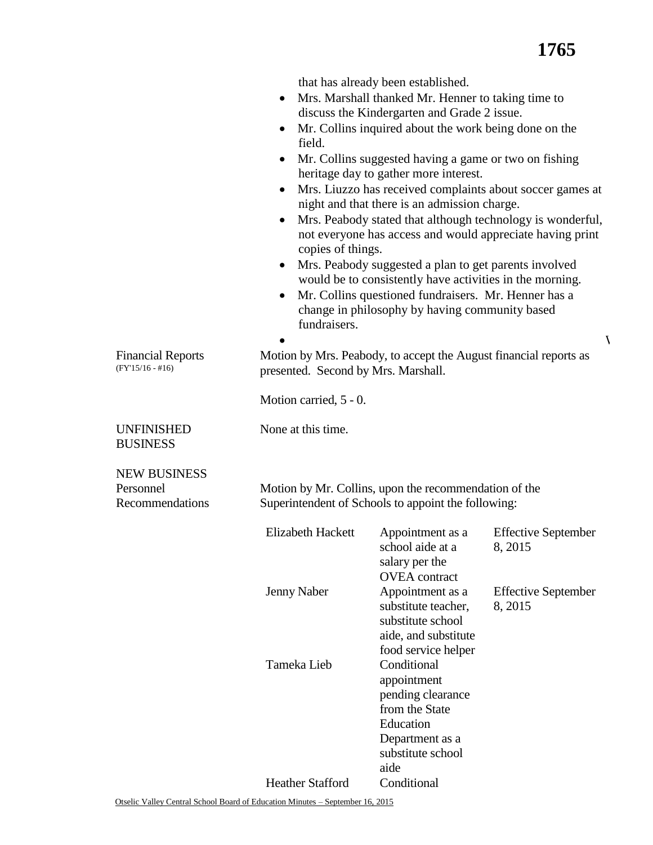that has already been established.

- Mrs. Marshall thanked Mr. Henner to taking time to discuss the Kindergarten and Grade 2 issue.
- Mr. Collins inquired about the work being done on the field.
- Mr. Collins suggested having a game or two on fishing heritage day to gather more interest.
- Mrs. Liuzzo has received complaints about soccer games at night and that there is an admission charge.
- Mrs. Peabody stated that although technology is wonderful, not everyone has access and would appreciate having print copies of things.
- Mrs. Peabody suggested a plan to get parents involved would be to consistently have activities in the morning.
- Mr. Collins questioned fundraisers. Mr. Henner has a change in philosophy by having community based fundraisers.
- $\mathcal{N}$  and  $\mathcal{N}$  are the set of  $\mathcal{N}$

Motion by Mrs. Peabody, to accept the August financial reports as presented. Second by Mrs. Marshall.

Motion carried, 5 - 0.

None at this time.

UNFINISHED BUSINESS

Financial Reports (FY'15/16 - #16)

NEW BUSINESS Personnel Recommendations

Motion by Mr. Collins, upon the recommendation of the Superintendent of Schools to appoint the following:

| Elizabeth Hackett       | Appointment as a<br>school aide at a<br>salary per the<br><b>OVEA</b> contract                                                 | <b>Effective September</b><br>8, 2015 |
|-------------------------|--------------------------------------------------------------------------------------------------------------------------------|---------------------------------------|
| <b>Jenny Naber</b>      | Appointment as a<br>substitute teacher,<br>substitute school<br>aide, and substitute<br>food service helper                    | <b>Effective September</b><br>8, 2015 |
| Tameka Lieb             | Conditional<br>appointment<br>pending clearance<br>from the State<br>Education<br>Department as a<br>substitute school<br>aide |                                       |
| <b>Heather Stafford</b> | Conditional                                                                                                                    |                                       |

Otselic Valley Central School Board of Education Minutes – September 16, 2015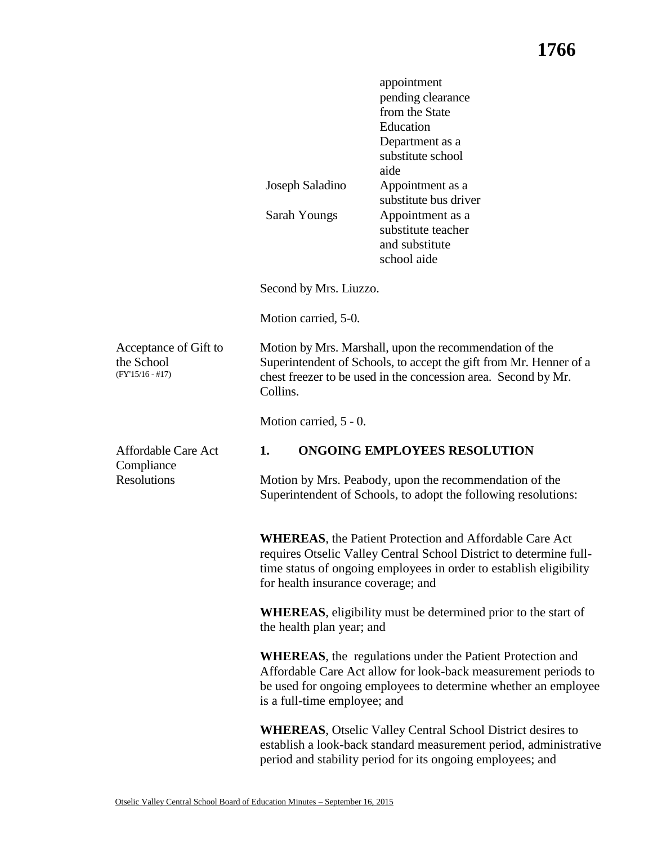|                                                           |                                                                                                                                                                                                                                                   | pending clearance<br>from the State<br>Education<br>Department as a<br>substitute school<br>aide                         |  |  |  |
|-----------------------------------------------------------|---------------------------------------------------------------------------------------------------------------------------------------------------------------------------------------------------------------------------------------------------|--------------------------------------------------------------------------------------------------------------------------|--|--|--|
|                                                           | Joseph Saladino                                                                                                                                                                                                                                   | Appointment as a<br>substitute bus driver                                                                                |  |  |  |
|                                                           | Sarah Youngs                                                                                                                                                                                                                                      | Appointment as a<br>substitute teacher<br>and substitute<br>school aide                                                  |  |  |  |
|                                                           | Second by Mrs. Liuzzo.                                                                                                                                                                                                                            |                                                                                                                          |  |  |  |
|                                                           | Motion carried, 5-0.                                                                                                                                                                                                                              |                                                                                                                          |  |  |  |
| Acceptance of Gift to<br>the School<br>$(FY'15/16 - #17)$ | Motion by Mrs. Marshall, upon the recommendation of the<br>Superintendent of Schools, to accept the gift from Mr. Henner of a<br>chest freezer to be used in the concession area. Second by Mr.<br>Collins.                                       |                                                                                                                          |  |  |  |
|                                                           | Motion carried, 5 - 0.                                                                                                                                                                                                                            |                                                                                                                          |  |  |  |
| <b>Affordable Care Act</b>                                | 1.                                                                                                                                                                                                                                                | ONGOING EMPLOYEES RESOLUTION                                                                                             |  |  |  |
| Compliance<br><b>Resolutions</b>                          |                                                                                                                                                                                                                                                   | Motion by Mrs. Peabody, upon the recommendation of the<br>Superintendent of Schools, to adopt the following resolutions: |  |  |  |
|                                                           | <b>WHEREAS</b> , the Patient Protection and Affordable Care Act<br>requires Otselic Valley Central School District to determine full-<br>time status of ongoing employees in order to establish eligibility<br>for health insurance coverage; and |                                                                                                                          |  |  |  |
|                                                           | <b>WHEREAS</b> , eligibility must be determined prior to the start of<br>the health plan year; and                                                                                                                                                |                                                                                                                          |  |  |  |
|                                                           | <b>WHEREAS</b> , the regulations under the Patient Protection and<br>Affordable Care Act allow for look-back measurement periods to<br>be used for ongoing employees to determine whether an employee<br>is a full-time employee; and             |                                                                                                                          |  |  |  |
|                                                           | <b>WHEREAS, Otselic Valley Central School District desires to</b><br>establish a look-back standard measurement period, administrative<br>period and stability period for its ongoing employees; and                                              |                                                                                                                          |  |  |  |

appointment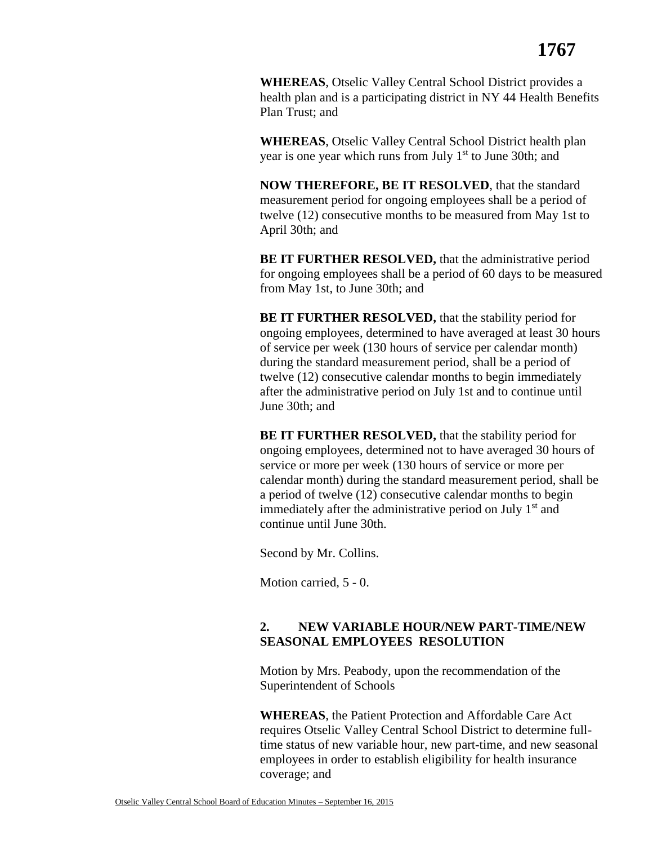**WHEREAS**, Otselic Valley Central School District provides a health plan and is a participating district in NY 44 Health Benefits Plan Trust; and

**WHEREAS**, Otselic Valley Central School District health plan year is one year which runs from July  $1<sup>st</sup>$  to June 30th; and

**NOW THEREFORE, BE IT RESOLVED**, that the standard measurement period for ongoing employees shall be a period of twelve (12) consecutive months to be measured from May 1st to April 30th; and

**BE IT FURTHER RESOLVED, that the administrative period** for ongoing employees shall be a period of 60 days to be measured from May 1st, to June 30th; and

**BE IT FURTHER RESOLVED, that the stability period for** ongoing employees, determined to have averaged at least 30 hours of service per week (130 hours of service per calendar month) during the standard measurement period, shall be a period of twelve (12) consecutive calendar months to begin immediately after the administrative period on July 1st and to continue until June 30th; and

**BE IT FURTHER RESOLVED, that the stability period for** ongoing employees, determined not to have averaged 30 hours of service or more per week (130 hours of service or more per calendar month) during the standard measurement period, shall be a period of twelve (12) consecutive calendar months to begin immediately after the administrative period on July  $1<sup>st</sup>$  and continue until June 30th.

Second by Mr. Collins.

Motion carried, 5 - 0.

## **2. NEW VARIABLE HOUR/NEW PART-TIME/NEW SEASONAL EMPLOYEES RESOLUTION**

Motion by Mrs. Peabody, upon the recommendation of the Superintendent of Schools

**WHEREAS**, the Patient Protection and Affordable Care Act requires Otselic Valley Central School District to determine fulltime status of new variable hour, new part-time, and new seasonal employees in order to establish eligibility for health insurance coverage; and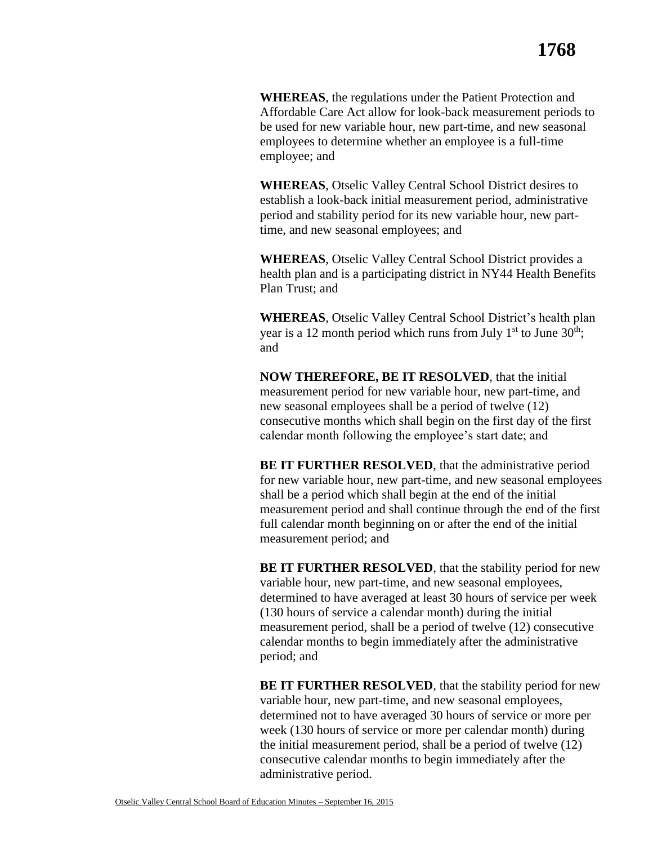**WHEREAS**, the regulations under the Patient Protection and Affordable Care Act allow for look-back measurement periods to be used for new variable hour, new part-time, and new seasonal employees to determine whether an employee is a full-time employee; and

**WHEREAS**, Otselic Valley Central School District desires to establish a look-back initial measurement period, administrative period and stability period for its new variable hour, new parttime, and new seasonal employees; and

**WHEREAS**, Otselic Valley Central School District provides a health plan and is a participating district in NY44 Health Benefits Plan Trust; and

**WHEREAS**, Otselic Valley Central School District's health plan year is a 12 month period which runs from July  $1<sup>st</sup>$  to June  $30<sup>th</sup>$ ; and

**NOW THEREFORE, BE IT RESOLVED**, that the initial measurement period for new variable hour, new part-time, and new seasonal employees shall be a period of twelve (12) consecutive months which shall begin on the first day of the first calendar month following the employee's start date; and

**BE IT FURTHER RESOLVED**, that the administrative period for new variable hour, new part-time, and new seasonal employees shall be a period which shall begin at the end of the initial measurement period and shall continue through the end of the first full calendar month beginning on or after the end of the initial measurement period; and

**BE IT FURTHER RESOLVED**, that the stability period for new variable hour, new part-time, and new seasonal employees, determined to have averaged at least 30 hours of service per week (130 hours of service a calendar month) during the initial measurement period, shall be a period of twelve (12) consecutive calendar months to begin immediately after the administrative period; and

**BE IT FURTHER RESOLVED**, that the stability period for new variable hour, new part-time, and new seasonal employees, determined not to have averaged 30 hours of service or more per week (130 hours of service or more per calendar month) during the initial measurement period, shall be a period of twelve (12) consecutive calendar months to begin immediately after the administrative period.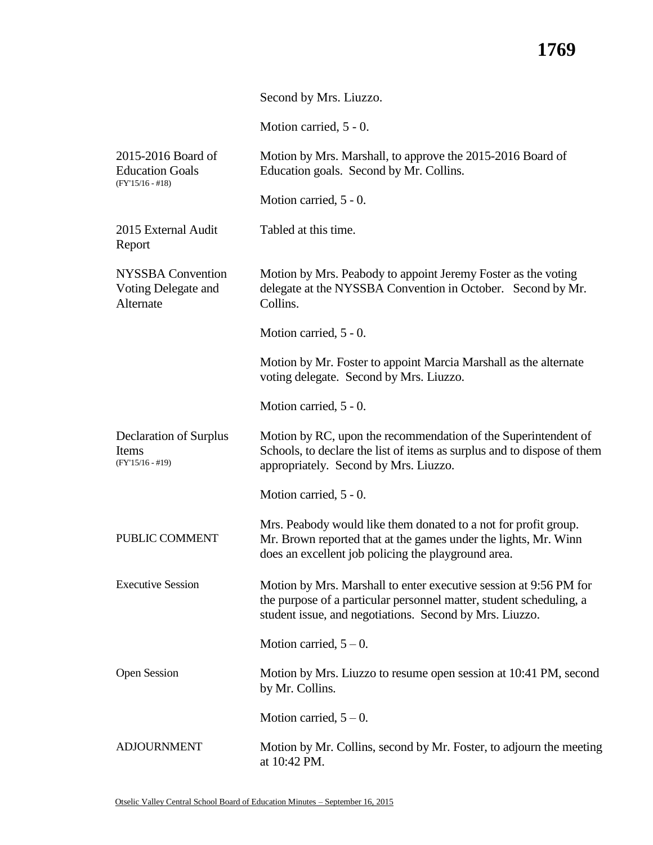## **1769**

|                                                                    | Second by Mrs. Liuzzo.                                                                                                                                                                              |  |
|--------------------------------------------------------------------|-----------------------------------------------------------------------------------------------------------------------------------------------------------------------------------------------------|--|
|                                                                    | Motion carried, 5 - 0.                                                                                                                                                                              |  |
| 2015-2016 Board of<br><b>Education Goals</b><br>$(FY'15/16 - #18)$ | Motion by Mrs. Marshall, to approve the 2015-2016 Board of<br>Education goals. Second by Mr. Collins.                                                                                               |  |
|                                                                    | Motion carried, 5 - 0.                                                                                                                                                                              |  |
| 2015 External Audit<br>Report                                      | Tabled at this time.                                                                                                                                                                                |  |
| <b>NYSSBA</b> Convention<br>Voting Delegate and<br>Alternate       | Motion by Mrs. Peabody to appoint Jeremy Foster as the voting<br>delegate at the NYSSBA Convention in October. Second by Mr.<br>Collins.                                                            |  |
|                                                                    | Motion carried, 5 - 0.                                                                                                                                                                              |  |
|                                                                    | Motion by Mr. Foster to appoint Marcia Marshall as the alternate<br>voting delegate. Second by Mrs. Liuzzo.                                                                                         |  |
|                                                                    | Motion carried, 5 - 0.                                                                                                                                                                              |  |
| Declaration of Surplus<br>Items<br>$(FY'15/16 - #19)$              | Motion by RC, upon the recommendation of the Superintendent of<br>Schools, to declare the list of items as surplus and to dispose of them<br>appropriately. Second by Mrs. Liuzzo.                  |  |
|                                                                    | Motion carried, 5 - 0.                                                                                                                                                                              |  |
| PUBLIC COMMENT                                                     | Mrs. Peabody would like them donated to a not for profit group.<br>Mr. Brown reported that at the games under the lights, Mr. Winn<br>does an excellent job policing the playground area.           |  |
| <b>Executive Session</b>                                           | Motion by Mrs. Marshall to enter executive session at 9:56 PM for<br>the purpose of a particular personnel matter, student scheduling, a<br>student issue, and negotiations. Second by Mrs. Liuzzo. |  |
|                                                                    | Motion carried, $5 - 0$ .                                                                                                                                                                           |  |
| <b>Open Session</b>                                                | Motion by Mrs. Liuzzo to resume open session at 10:41 PM, second<br>by Mr. Collins.                                                                                                                 |  |
|                                                                    | Motion carried, $5 - 0$ .                                                                                                                                                                           |  |
| <b>ADJOURNMENT</b>                                                 | Motion by Mr. Collins, second by Mr. Foster, to adjourn the meeting<br>at 10:42 PM.                                                                                                                 |  |